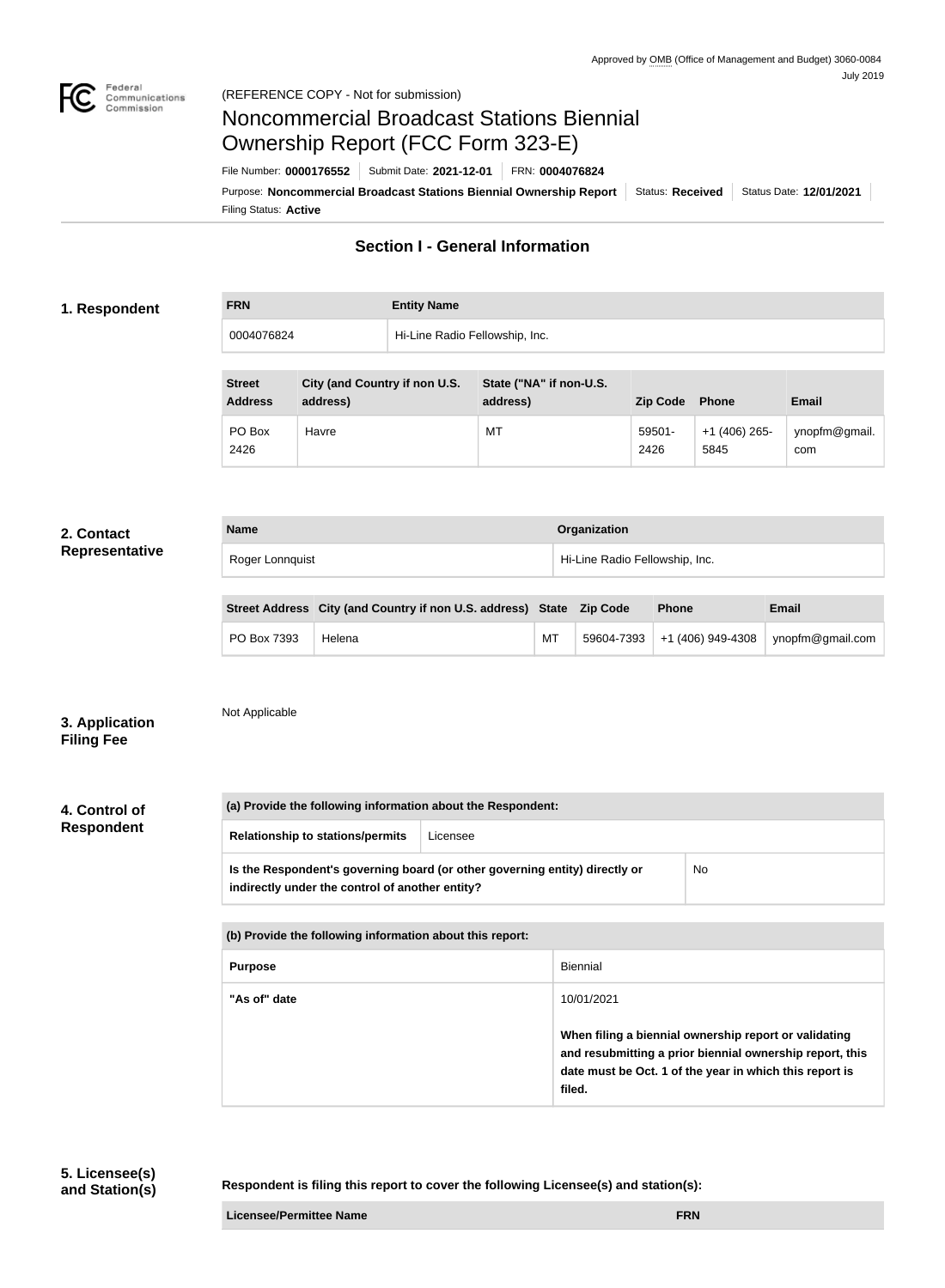

# Noncommercial Broadcast Stations Biennial Ownership Report (FCC Form 323-E)

Filing Status: **Active** Purpose: Noncommercial Broadcast Stations Biennial Ownership Report | Status: Received | Status Date: 12/01/2021 File Number: **0000176552** Submit Date: **2021-12-01** FRN: **0004076824**

### **Section I - General Information**

### **1. Respondent**

| <b>FRN</b> | <b>Entity Name</b>             |
|------------|--------------------------------|
| 0004076824 | Hi-Line Radio Fellowship, Inc. |

| <b>Street</b><br><b>Address</b> | City (and Country if non U.S.<br>address) | State ("NA" if non-U.S.<br>address) | <b>Zip Code</b> | <b>Phone</b>           | <b>Email</b>         |
|---------------------------------|-------------------------------------------|-------------------------------------|-----------------|------------------------|----------------------|
| PO Box<br>2426                  | Havre                                     | MT                                  | 59501-<br>2426  | $+1(406)$ 265-<br>5845 | ynopfm@gmail.<br>com |

#### **2. Contact Representative**

| <b>Name</b>     | Organization                   |
|-----------------|--------------------------------|
| Roger Lonnquist | Hi-Line Radio Fellowship, Inc. |

|             | Street Address City (and Country if non U.S. address) State Zip Code |    | <b>Phone</b> | Email                                           |
|-------------|----------------------------------------------------------------------|----|--------------|-------------------------------------------------|
| PO Box 7393 | Helena                                                               | МT |              | $59604-7393$ +1 (406) 949-4308 vnopfm@gmail.com |

### **3. Application Filing Fee**

Not Applicable

**4. Control of Respondent**

**(a) Provide the following information about the Respondent: Relationship to stations/permits** Licensee **Is the Respondent's governing board (or other governing entity) directly or indirectly under the control of another entity?** No

| (b) Provide the following information about this report: |                                                                                                                                                                                        |  |
|----------------------------------------------------------|----------------------------------------------------------------------------------------------------------------------------------------------------------------------------------------|--|
| <b>Purpose</b>                                           | Biennial                                                                                                                                                                               |  |
| "As of" date                                             | 10/01/2021                                                                                                                                                                             |  |
|                                                          | When filing a biennial ownership report or validating<br>and resubmitting a prior biennial ownership report, this<br>date must be Oct. 1 of the year in which this report is<br>filed. |  |

**Respondent is filing this report to cover the following Licensee(s) and station(s):**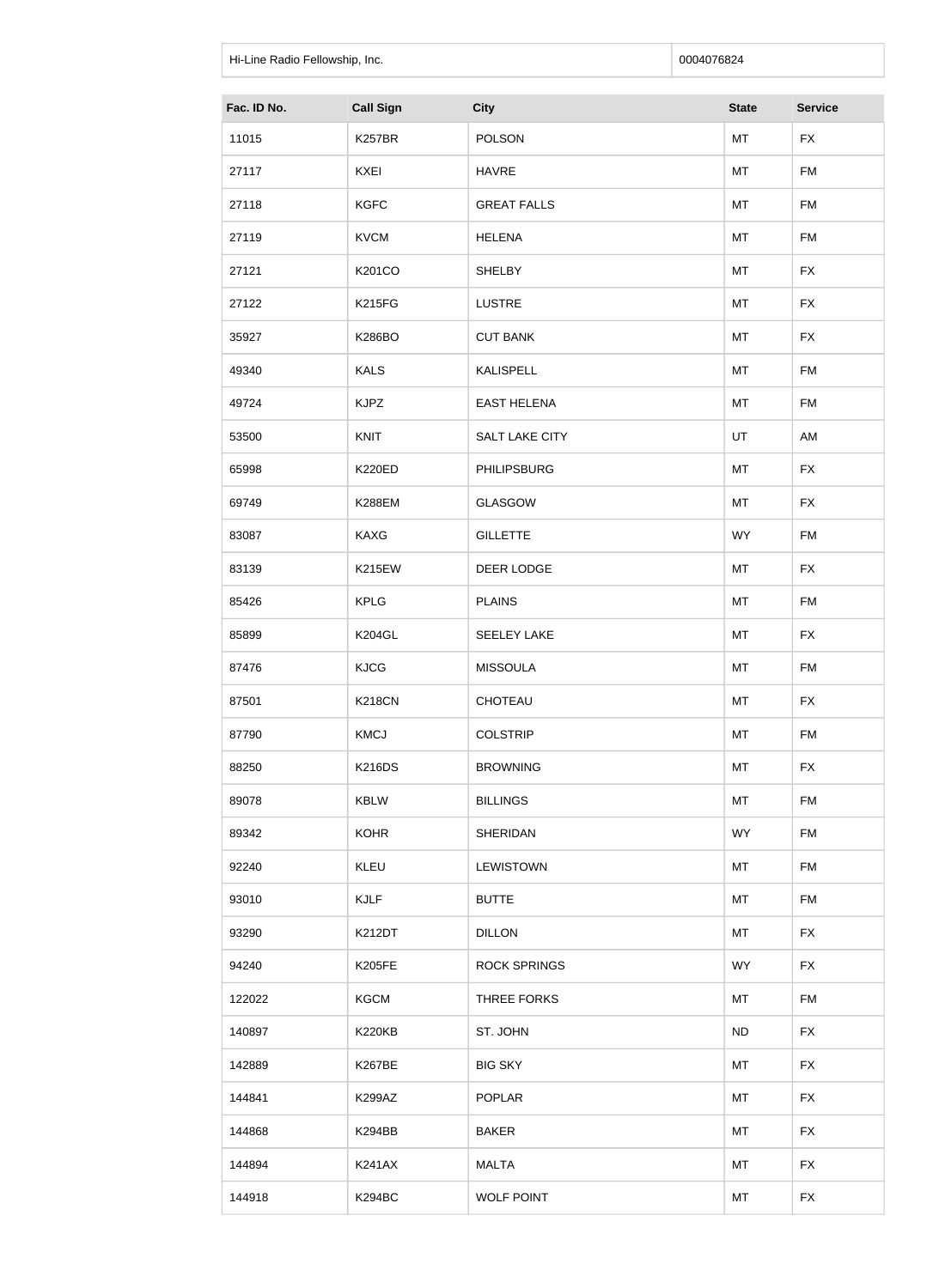| Hi-Line Radio Fellowship, Inc. |                  |                       | 0004076824   |                |
|--------------------------------|------------------|-----------------------|--------------|----------------|
| Fac. ID No.                    | <b>Call Sign</b> | <b>City</b>           | <b>State</b> | <b>Service</b> |
| 11015                          | <b>K257BR</b>    | <b>POLSON</b>         | MT           | <b>FX</b>      |
| 27117                          | KXEI             | <b>HAVRE</b>          | MT           | <b>FM</b>      |
| 27118                          | <b>KGFC</b>      | <b>GREAT FALLS</b>    | MT           | <b>FM</b>      |
| 27119                          | <b>KVCM</b>      | <b>HELENA</b>         | MT           | <b>FM</b>      |
| 27121                          | K201CO           | <b>SHELBY</b>         | MT           | <b>FX</b>      |
| 27122                          | <b>K215FG</b>    | <b>LUSTRE</b>         | MT           | <b>FX</b>      |
| 35927                          | <b>K286BO</b>    | <b>CUT BANK</b>       | MT           | <b>FX</b>      |
| 49340                          | <b>KALS</b>      | <b>KALISPELL</b>      | MT           | <b>FM</b>      |
| 49724                          | <b>KJPZ</b>      | <b>EAST HELENA</b>    | MT           | <b>FM</b>      |
| 53500                          | KNIT             | <b>SALT LAKE CITY</b> | UT           | AM             |
| 65998                          | <b>K220ED</b>    | <b>PHILIPSBURG</b>    | MT           | <b>FX</b>      |
| 69749                          | <b>K288EM</b>    | <b>GLASGOW</b>        | MT           | <b>FX</b>      |
| 83087                          | <b>KAXG</b>      | <b>GILLETTE</b>       | <b>WY</b>    | <b>FM</b>      |
| 83139                          | <b>K215EW</b>    | DEER LODGE            | MT           | <b>FX</b>      |
| 85426                          | <b>KPLG</b>      | <b>PLAINS</b>         | MT           | <b>FM</b>      |
| 85899                          | <b>K204GL</b>    | <b>SEELEY LAKE</b>    | MT           | <b>FX</b>      |
| 87476                          | <b>KJCG</b>      | <b>MISSOULA</b>       | MT           | <b>FM</b>      |
| 87501                          | <b>K218CN</b>    | CHOTEAU               | MT           | <b>FX</b>      |
| 87790                          | <b>KMCJ</b>      | <b>COLSTRIP</b>       | MT           | <b>FM</b>      |
| 88250                          | <b>K216DS</b>    | <b>BROWNING</b>       | MT           | <b>FX</b>      |
| 89078                          | <b>KBLW</b>      | <b>BILLINGS</b>       | MT           | <b>FM</b>      |
| 89342                          | <b>KOHR</b>      | <b>SHERIDAN</b>       | <b>WY</b>    | FM             |
| 92240                          | KLEU             | <b>LEWISTOWN</b>      | MT           | <b>FM</b>      |
| 93010                          | <b>KJLF</b>      | <b>BUTTE</b>          | MT           | <b>FM</b>      |
| 93290                          | <b>K212DT</b>    | <b>DILLON</b>         | MT           | <b>FX</b>      |
| 94240                          | <b>K205FE</b>    | <b>ROCK SPRINGS</b>   | <b>WY</b>    | <b>FX</b>      |
| 122022                         | <b>KGCM</b>      | THREE FORKS           | MT           | <b>FM</b>      |
| 140897                         | <b>K220KB</b>    | ST. JOHN              | ND           | <b>FX</b>      |

142889 | K267BE | BIG SKY | MT | FX

144841 | K299AZ | POPLAR | MT | FX

144868 | K294BB | BAKER | MT | FX

144894 | K241AX | MALTA | MT | FX

144918 K294BC WOLF POINT NT FX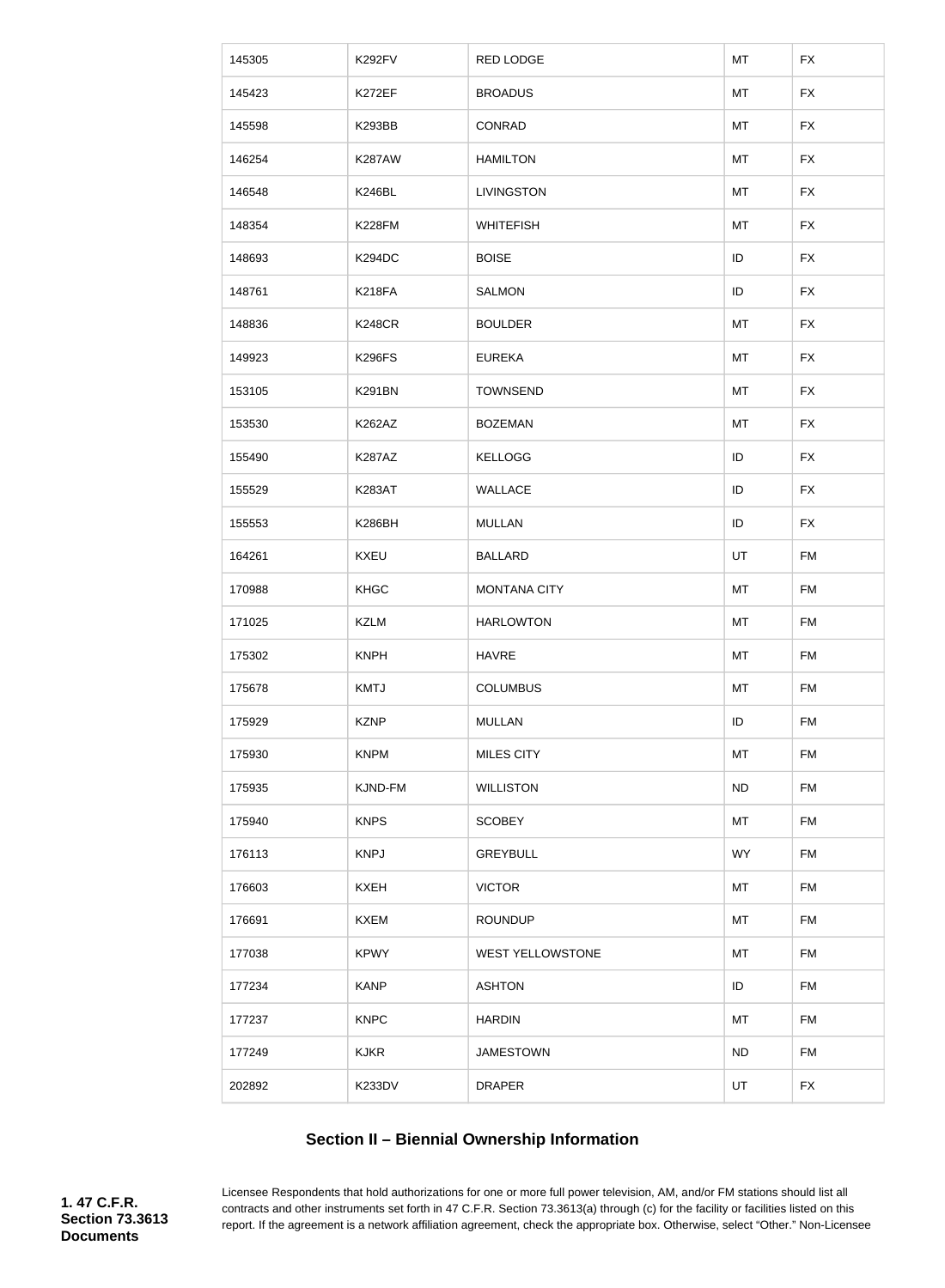| 145305 | <b>K292FV</b> | <b>RED LODGE</b>        | MT        | <b>FX</b> |
|--------|---------------|-------------------------|-----------|-----------|
| 145423 | K272EF        | <b>BROADUS</b>          | MT        | <b>FX</b> |
| 145598 | <b>K293BB</b> | CONRAD                  | MT        | <b>FX</b> |
| 146254 | <b>K287AW</b> | <b>HAMILTON</b>         | MT        | <b>FX</b> |
| 146548 | <b>K246BL</b> | <b>LIVINGSTON</b>       | MT        | <b>FX</b> |
| 148354 | <b>K228FM</b> | <b>WHITEFISH</b>        | MT        | <b>FX</b> |
| 148693 | <b>K294DC</b> | <b>BOISE</b>            | ID        | <b>FX</b> |
| 148761 | <b>K218FA</b> | <b>SALMON</b>           | ID        | <b>FX</b> |
| 148836 | <b>K248CR</b> | <b>BOULDER</b>          | MT        | <b>FX</b> |
| 149923 | <b>K296FS</b> | <b>EUREKA</b>           | MT        | <b>FX</b> |
| 153105 | <b>K291BN</b> | <b>TOWNSEND</b>         | MT        | <b>FX</b> |
| 153530 | K262AZ        | <b>BOZEMAN</b>          | MT        | <b>FX</b> |
| 155490 | <b>K287AZ</b> | <b>KELLOGG</b>          | ID        | <b>FX</b> |
| 155529 | <b>K283AT</b> | <b>WALLACE</b>          | ID        | <b>FX</b> |
| 155553 | K286BH        | <b>MULLAN</b>           | ID        | <b>FX</b> |
| 164261 | <b>KXEU</b>   | <b>BALLARD</b>          | UT        | <b>FM</b> |
| 170988 | <b>KHGC</b>   | <b>MONTANA CITY</b>     | MT        | <b>FM</b> |
| 171025 | <b>KZLM</b>   | <b>HARLOWTON</b>        | MT        | <b>FM</b> |
| 175302 | <b>KNPH</b>   | <b>HAVRE</b>            | MT        | <b>FM</b> |
| 175678 | <b>KMTJ</b>   | <b>COLUMBUS</b>         | MT        | FM        |
| 175929 | <b>KZNP</b>   | <b>MULLAN</b>           | ID        | <b>FM</b> |
| 175930 | <b>KNPM</b>   | <b>MILES CITY</b>       | MT        | <b>FM</b> |
| 175935 | KJND-FM       | <b>WILLISTON</b>        | <b>ND</b> | <b>FM</b> |
| 175940 | <b>KNPS</b>   | <b>SCOBEY</b>           | MT        | <b>FM</b> |
| 176113 | <b>KNPJ</b>   | <b>GREYBULL</b>         | <b>WY</b> | <b>FM</b> |
| 176603 | <b>KXEH</b>   | <b>VICTOR</b>           | MT        | <b>FM</b> |
| 176691 | <b>KXEM</b>   | <b>ROUNDUP</b>          | MT        | FM        |
| 177038 | <b>KPWY</b>   | <b>WEST YELLOWSTONE</b> | MT        | <b>FM</b> |
| 177234 | <b>KANP</b>   | <b>ASHTON</b>           | ID        | <b>FM</b> |
| 177237 | <b>KNPC</b>   | <b>HARDIN</b>           | MT        | <b>FM</b> |
| 177249 | <b>KJKR</b>   | <b>JAMESTOWN</b>        | <b>ND</b> | <b>FM</b> |
| 202892 | K233DV        | <b>DRAPER</b>           | UT        | <b>FX</b> |

# **Section II – Biennial Ownership Information**

Licensee Respondents that hold authorizations for one or more full power television, AM, and/or FM stations should list all contracts and other instruments set forth in 47 C.F.R. Section 73.3613(a) through (c) for the facility or facilities listed on this report. If the agreement is a network affiliation agreement, check the appropriate box. Otherwise, select "Other." Non-Licensee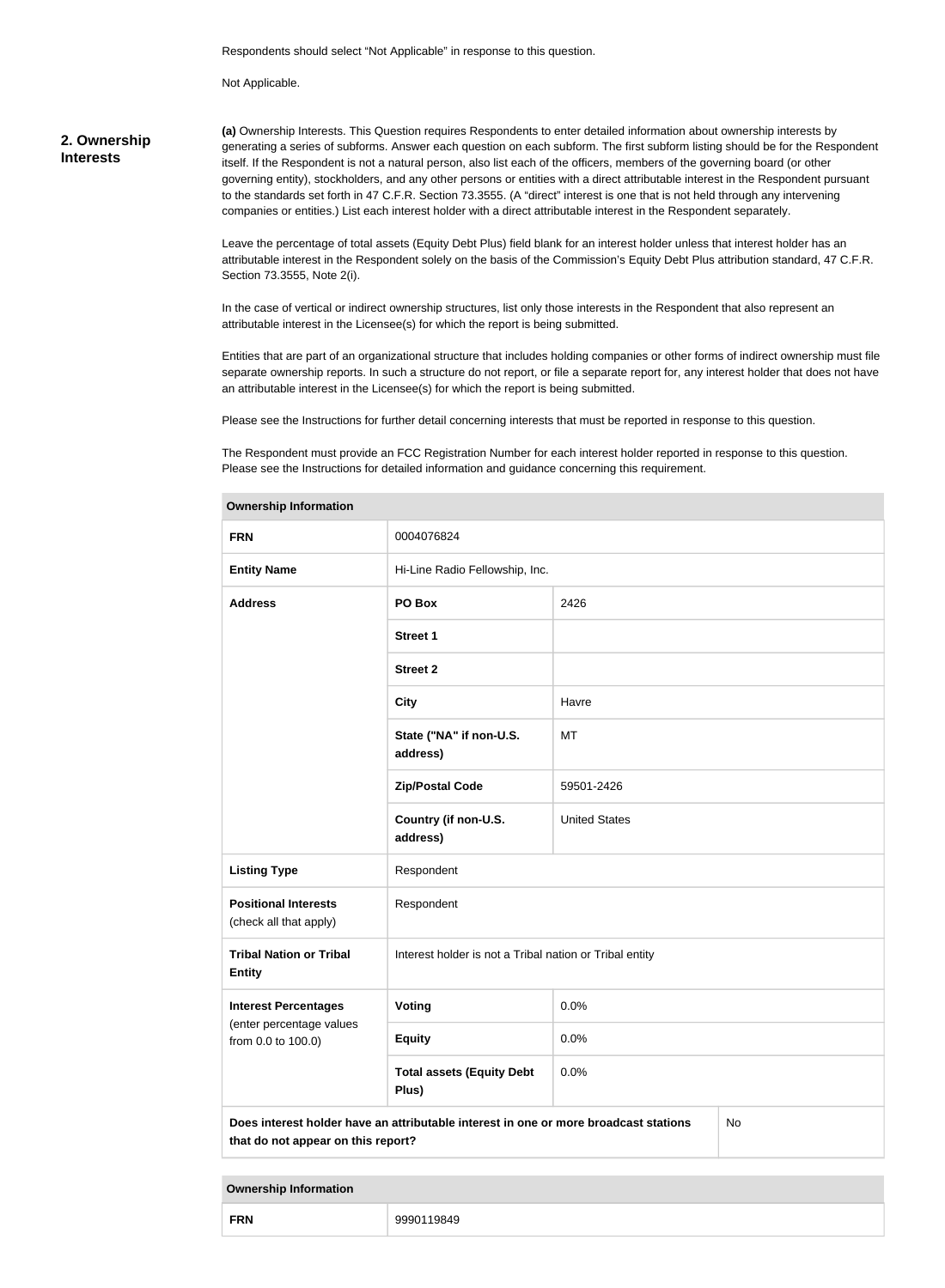Respondents should select "Not Applicable" in response to this question.

Not Applicable.

#### **2. Ownership Interests**

**(a)** Ownership Interests. This Question requires Respondents to enter detailed information about ownership interests by generating a series of subforms. Answer each question on each subform. The first subform listing should be for the Respondent itself. If the Respondent is not a natural person, also list each of the officers, members of the governing board (or other governing entity), stockholders, and any other persons or entities with a direct attributable interest in the Respondent pursuant to the standards set forth in 47 C.F.R. Section 73.3555. (A "direct" interest is one that is not held through any intervening companies or entities.) List each interest holder with a direct attributable interest in the Respondent separately.

Leave the percentage of total assets (Equity Debt Plus) field blank for an interest holder unless that interest holder has an attributable interest in the Respondent solely on the basis of the Commission's Equity Debt Plus attribution standard, 47 C.F.R. Section 73.3555, Note 2(i).

In the case of vertical or indirect ownership structures, list only those interests in the Respondent that also represent an attributable interest in the Licensee(s) for which the report is being submitted.

Entities that are part of an organizational structure that includes holding companies or other forms of indirect ownership must file separate ownership reports. In such a structure do not report, or file a separate report for, any interest holder that does not have an attributable interest in the Licensee(s) for which the report is being submitted.

Please see the Instructions for further detail concerning interests that must be reported in response to this question.

The Respondent must provide an FCC Registration Number for each interest holder reported in response to this question. Please see the Instructions for detailed information and guidance concerning this requirement.

| <b>Ownership Information</b>                                                                                                     |                                                         |                      |  |  |
|----------------------------------------------------------------------------------------------------------------------------------|---------------------------------------------------------|----------------------|--|--|
| <b>FRN</b>                                                                                                                       | 0004076824                                              |                      |  |  |
| <b>Entity Name</b>                                                                                                               | Hi-Line Radio Fellowship, Inc.                          |                      |  |  |
| <b>Address</b>                                                                                                                   | PO Box                                                  | 2426                 |  |  |
|                                                                                                                                  | <b>Street 1</b>                                         |                      |  |  |
|                                                                                                                                  | <b>Street 2</b>                                         |                      |  |  |
|                                                                                                                                  | <b>City</b>                                             | Havre                |  |  |
|                                                                                                                                  | State ("NA" if non-U.S.<br>address)                     | MT                   |  |  |
|                                                                                                                                  | <b>Zip/Postal Code</b>                                  | 59501-2426           |  |  |
|                                                                                                                                  | Country (if non-U.S.<br>address)                        | <b>United States</b> |  |  |
| <b>Listing Type</b>                                                                                                              | Respondent                                              |                      |  |  |
| <b>Positional Interests</b><br>(check all that apply)                                                                            | Respondent                                              |                      |  |  |
| <b>Tribal Nation or Tribal</b><br><b>Entity</b>                                                                                  | Interest holder is not a Tribal nation or Tribal entity |                      |  |  |
| <b>Interest Percentages</b>                                                                                                      | <b>Voting</b>                                           | 0.0%                 |  |  |
| (enter percentage values<br>from 0.0 to 100.0)                                                                                   | <b>Equity</b>                                           | 0.0%                 |  |  |
|                                                                                                                                  | <b>Total assets (Equity Debt</b><br>Plus)               | 0.0%                 |  |  |
| Does interest holder have an attributable interest in one or more broadcast stations<br>No<br>that do not appear on this report? |                                                         |                      |  |  |

**Ownership Information**

|--|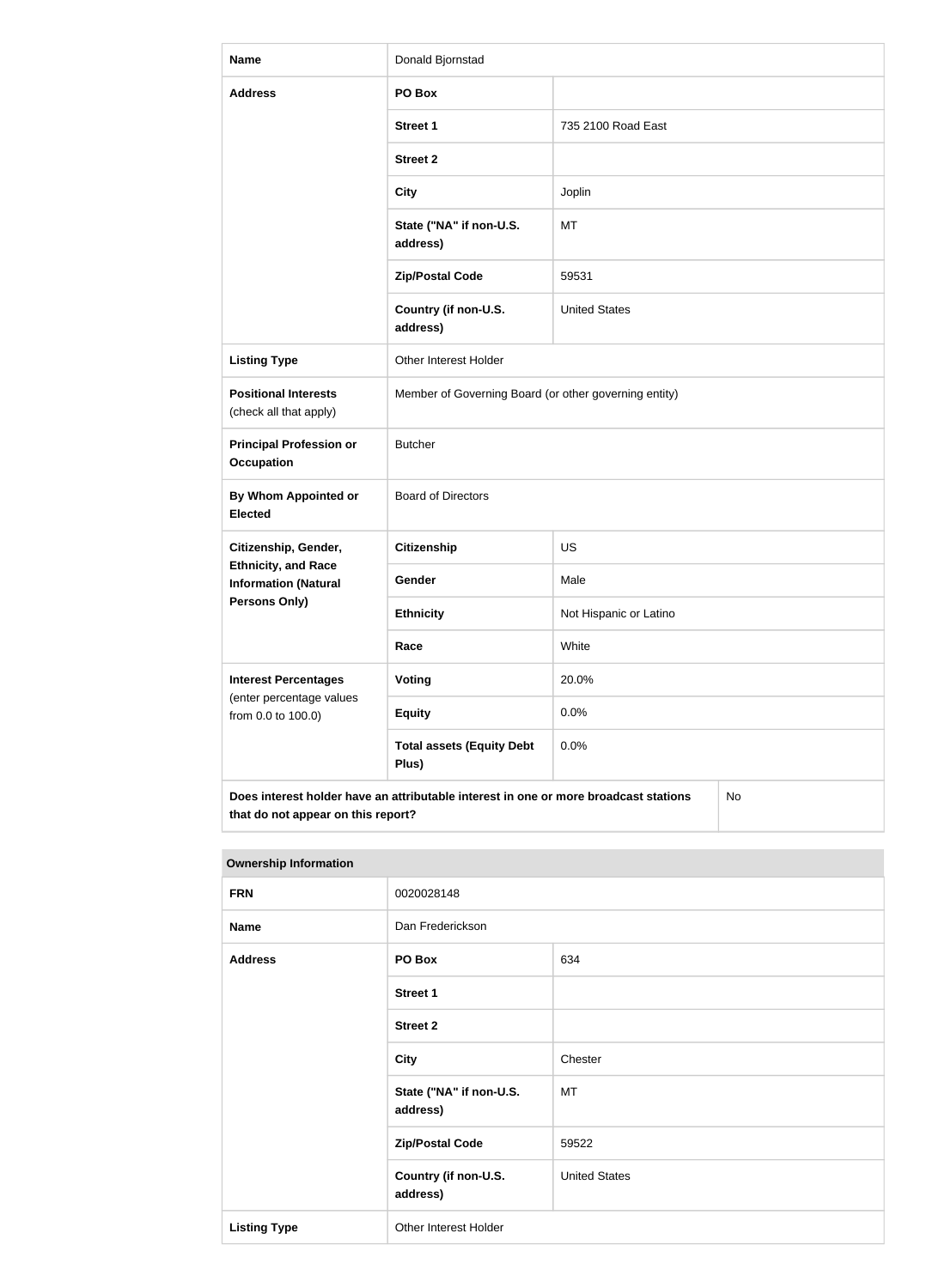| <b>Name</b>                                                                                                                      | Donald Bjornstad                                      |                        |  |
|----------------------------------------------------------------------------------------------------------------------------------|-------------------------------------------------------|------------------------|--|
| <b>Address</b>                                                                                                                   | PO Box                                                |                        |  |
|                                                                                                                                  | <b>Street 1</b>                                       | 735 2100 Road East     |  |
|                                                                                                                                  | <b>Street 2</b>                                       |                        |  |
|                                                                                                                                  | <b>City</b>                                           | Joplin                 |  |
|                                                                                                                                  | State ("NA" if non-U.S.<br>address)                   | <b>MT</b>              |  |
|                                                                                                                                  | <b>Zip/Postal Code</b>                                | 59531                  |  |
|                                                                                                                                  | Country (if non-U.S.<br>address)                      | <b>United States</b>   |  |
| <b>Listing Type</b>                                                                                                              | Other Interest Holder                                 |                        |  |
| <b>Positional Interests</b><br>(check all that apply)                                                                            | Member of Governing Board (or other governing entity) |                        |  |
| <b>Principal Profession or</b><br><b>Occupation</b>                                                                              | <b>Butcher</b>                                        |                        |  |
| By Whom Appointed or<br><b>Elected</b>                                                                                           | <b>Board of Directors</b>                             |                        |  |
| Citizenship, Gender,                                                                                                             | <b>Citizenship</b>                                    | <b>US</b>              |  |
| <b>Ethnicity, and Race</b><br><b>Information (Natural</b>                                                                        | Gender                                                | Male                   |  |
| <b>Persons Only)</b>                                                                                                             | <b>Ethnicity</b>                                      | Not Hispanic or Latino |  |
|                                                                                                                                  | Race                                                  | White                  |  |
| <b>Interest Percentages</b><br>(enter percentage values                                                                          | <b>Voting</b>                                         | 20.0%                  |  |
| from 0.0 to 100.0)                                                                                                               | <b>Equity</b>                                         | 0.0%                   |  |
|                                                                                                                                  | <b>Total assets (Equity Debt</b><br>Plus)             | 0.0%                   |  |
| Does interest holder have an attributable interest in one or more broadcast stations<br>No<br>that do not appear on this report? |                                                       |                        |  |

| Ownership information |                                     |                      |  |  |  |
|-----------------------|-------------------------------------|----------------------|--|--|--|
| <b>FRN</b>            | 0020028148                          |                      |  |  |  |
| <b>Name</b>           | Dan Frederickson                    |                      |  |  |  |
| <b>Address</b>        | PO Box<br>634                       |                      |  |  |  |
|                       | <b>Street 1</b>                     |                      |  |  |  |
|                       | <b>Street 2</b>                     |                      |  |  |  |
|                       | <b>City</b>                         | Chester              |  |  |  |
|                       | State ("NA" if non-U.S.<br>address) | MT                   |  |  |  |
|                       | <b>Zip/Postal Code</b>              | 59522                |  |  |  |
|                       | Country (if non-U.S.<br>address)    | <b>United States</b> |  |  |  |
| <b>Listing Type</b>   | Other Interest Holder               |                      |  |  |  |

### **Ownership Information**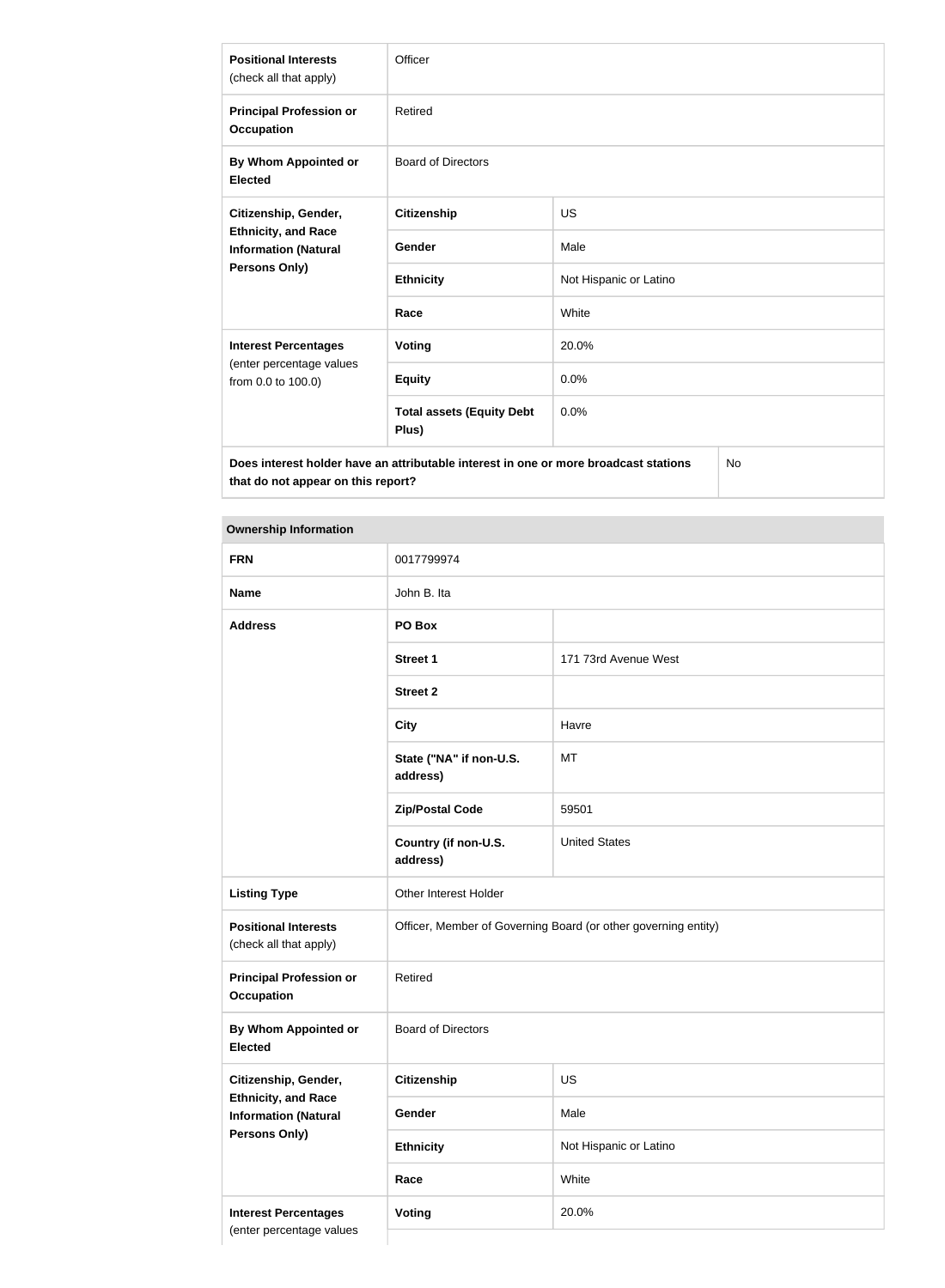| <b>Positional Interests</b><br>(check all that apply)                                             | Officer                                   |                        |  |
|---------------------------------------------------------------------------------------------------|-------------------------------------------|------------------------|--|
| <b>Principal Profession or</b><br><b>Occupation</b>                                               | Retired                                   |                        |  |
| By Whom Appointed or<br><b>Elected</b>                                                            | <b>Board of Directors</b>                 |                        |  |
| Citizenship, Gender,                                                                              | <b>Citizenship</b>                        | <b>US</b>              |  |
| <b>Ethnicity, and Race</b><br><b>Information (Natural</b>                                         | <b>Gender</b>                             | Male                   |  |
| Persons Only)                                                                                     | <b>Ethnicity</b>                          | Not Hispanic or Latino |  |
|                                                                                                   | Race                                      | White                  |  |
| <b>Interest Percentages</b>                                                                       | <b>Voting</b>                             | 20.0%                  |  |
| (enter percentage values<br>from 0.0 to 100.0)                                                    | <b>Equity</b>                             | 0.0%                   |  |
|                                                                                                   | <b>Total assets (Equity Debt</b><br>Plus) | 0.0%                   |  |
| Does interest holder have an attributable interest in one or more broadcast stations<br><b>No</b> |                                           |                        |  |

**Does interest holder have an attributable interest in one or more broadcast stations that do not appear on this report?**

### **Ownership Information**

| <b>FRN</b>                                                                                                | 0017799974                                                     |                        |  |
|-----------------------------------------------------------------------------------------------------------|----------------------------------------------------------------|------------------------|--|
| <b>Name</b>                                                                                               | John B. Ita                                                    |                        |  |
| <b>Address</b>                                                                                            | PO Box                                                         |                        |  |
|                                                                                                           | Street 1                                                       | 171 73rd Avenue West   |  |
|                                                                                                           | <b>Street 2</b>                                                |                        |  |
|                                                                                                           | <b>City</b>                                                    | Havre                  |  |
|                                                                                                           | State ("NA" if non-U.S.<br>address)                            | MT                     |  |
|                                                                                                           | <b>Zip/Postal Code</b>                                         | 59501                  |  |
|                                                                                                           | Country (if non-U.S.<br>address)                               | <b>United States</b>   |  |
| <b>Listing Type</b>                                                                                       | Other Interest Holder                                          |                        |  |
| <b>Positional Interests</b><br>(check all that apply)                                                     | Officer, Member of Governing Board (or other governing entity) |                        |  |
| <b>Principal Profession or</b><br><b>Occupation</b>                                                       | Retired                                                        |                        |  |
| By Whom Appointed or<br><b>Elected</b>                                                                    | <b>Board of Directors</b>                                      |                        |  |
| Citizenship, Gender,<br><b>Ethnicity, and Race</b><br><b>Information (Natural</b><br><b>Persons Only)</b> | <b>Citizenship</b>                                             | US                     |  |
|                                                                                                           | Gender                                                         | Male                   |  |
|                                                                                                           | <b>Ethnicity</b>                                               | Not Hispanic or Latino |  |
|                                                                                                           | Race                                                           | White                  |  |
| <b>Interest Percentages</b><br>(enter percentage values                                                   | Voting                                                         | 20.0%                  |  |
|                                                                                                           |                                                                |                        |  |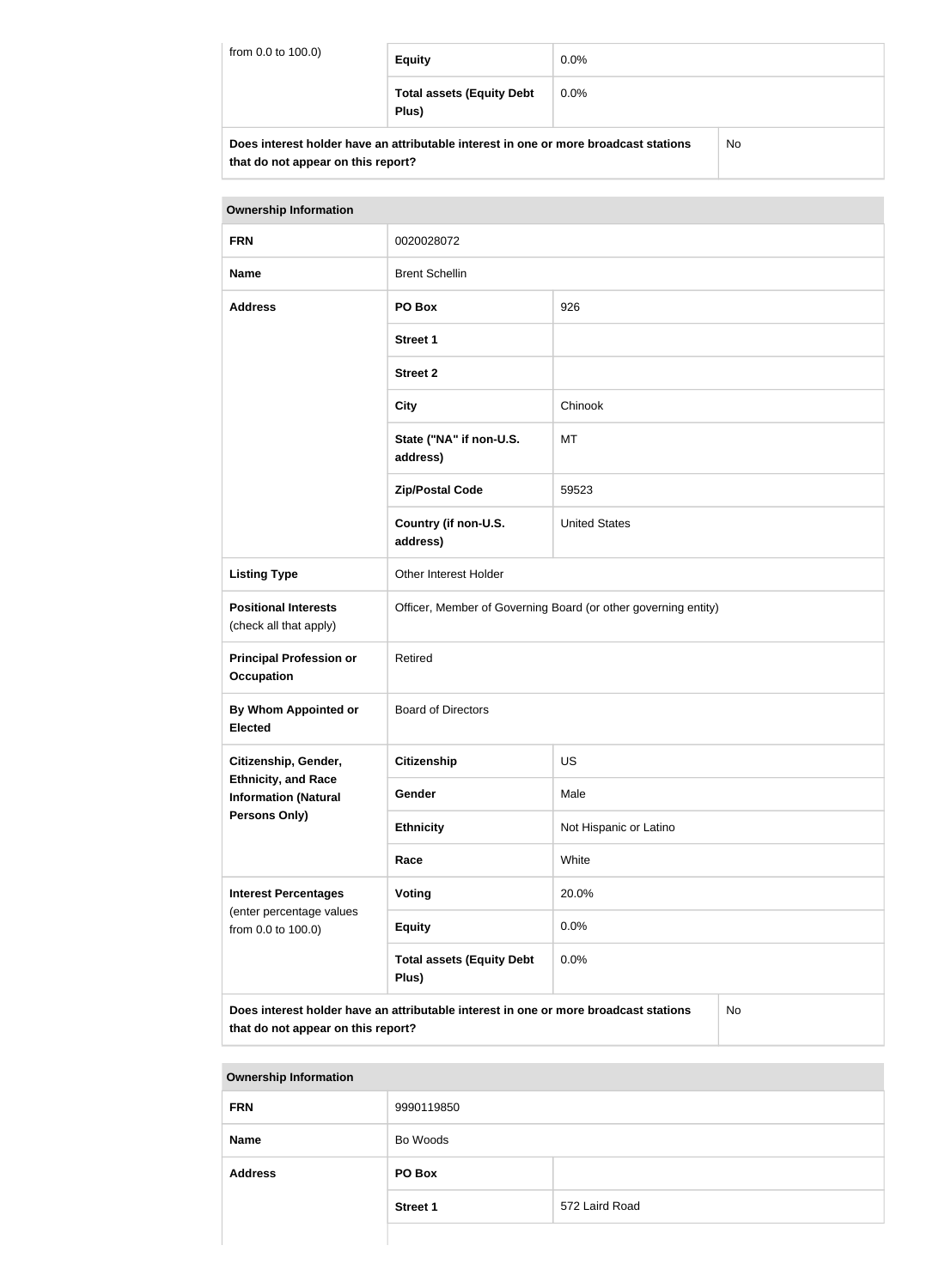| from 0.0 to 100.0)                                                                   | <b>Equity</b>                             | $0.0\%$ |    |
|--------------------------------------------------------------------------------------|-------------------------------------------|---------|----|
|                                                                                      | <b>Total assets (Equity Debt</b><br>Plus) | $0.0\%$ |    |
| Does interest holder have an attributable interest in one or more broadcast stations |                                           |         | Nη |

| Does interest holder have an attributable interest in one or more broadcast stations | <b>No</b> |
|--------------------------------------------------------------------------------------|-----------|
| that do not appear on this report?                                                   |           |

| <b>Ownership Information</b>                                                  |                                                                                      |                        |  |
|-------------------------------------------------------------------------------|--------------------------------------------------------------------------------------|------------------------|--|
| <b>FRN</b>                                                                    | 0020028072                                                                           |                        |  |
| <b>Name</b>                                                                   | <b>Brent Schellin</b>                                                                |                        |  |
| <b>Address</b>                                                                | PO Box                                                                               | 926                    |  |
|                                                                               | <b>Street 1</b>                                                                      |                        |  |
|                                                                               | <b>Street 2</b>                                                                      |                        |  |
|                                                                               | <b>City</b>                                                                          | Chinook                |  |
|                                                                               | State ("NA" if non-U.S.<br>address)                                                  | <b>MT</b>              |  |
|                                                                               | <b>Zip/Postal Code</b>                                                               | 59523                  |  |
|                                                                               | Country (if non-U.S.<br>address)                                                     | <b>United States</b>   |  |
| <b>Listing Type</b>                                                           | Other Interest Holder                                                                |                        |  |
| <b>Positional Interests</b><br>(check all that apply)                         | Officer, Member of Governing Board (or other governing entity)                       |                        |  |
| <b>Principal Profession or</b><br><b>Occupation</b>                           | Retired                                                                              |                        |  |
| By Whom Appointed or<br><b>Elected</b>                                        | <b>Board of Directors</b>                                                            |                        |  |
| Citizenship, Gender,                                                          | <b>Citizenship</b>                                                                   | <b>US</b>              |  |
| <b>Ethnicity, and Race</b><br><b>Information (Natural</b>                     | Gender                                                                               | Male                   |  |
| <b>Persons Only)</b>                                                          | <b>Ethnicity</b>                                                                     | Not Hispanic or Latino |  |
|                                                                               | Race                                                                                 | White                  |  |
| <b>Interest Percentages</b><br>(enter percentage values<br>from 0.0 to 100.0) | Voting                                                                               | 20.0%                  |  |
|                                                                               | <b>Equity</b>                                                                        | 0.0%                   |  |
|                                                                               | <b>Total assets (Equity Debt</b><br>Plus)                                            | 0.0%                   |  |
| that do not appear on this report?                                            | Does interest holder have an attributable interest in one or more broadcast stations | <b>No</b>              |  |

| <b>Ownership Information</b> |                 |                |
|------------------------------|-----------------|----------------|
| <b>FRN</b>                   | 9990119850      |                |
| <b>Name</b>                  | Bo Woods        |                |
| <b>Address</b>               | PO Box          |                |
|                              | <b>Street 1</b> | 572 Laird Road |
|                              |                 |                |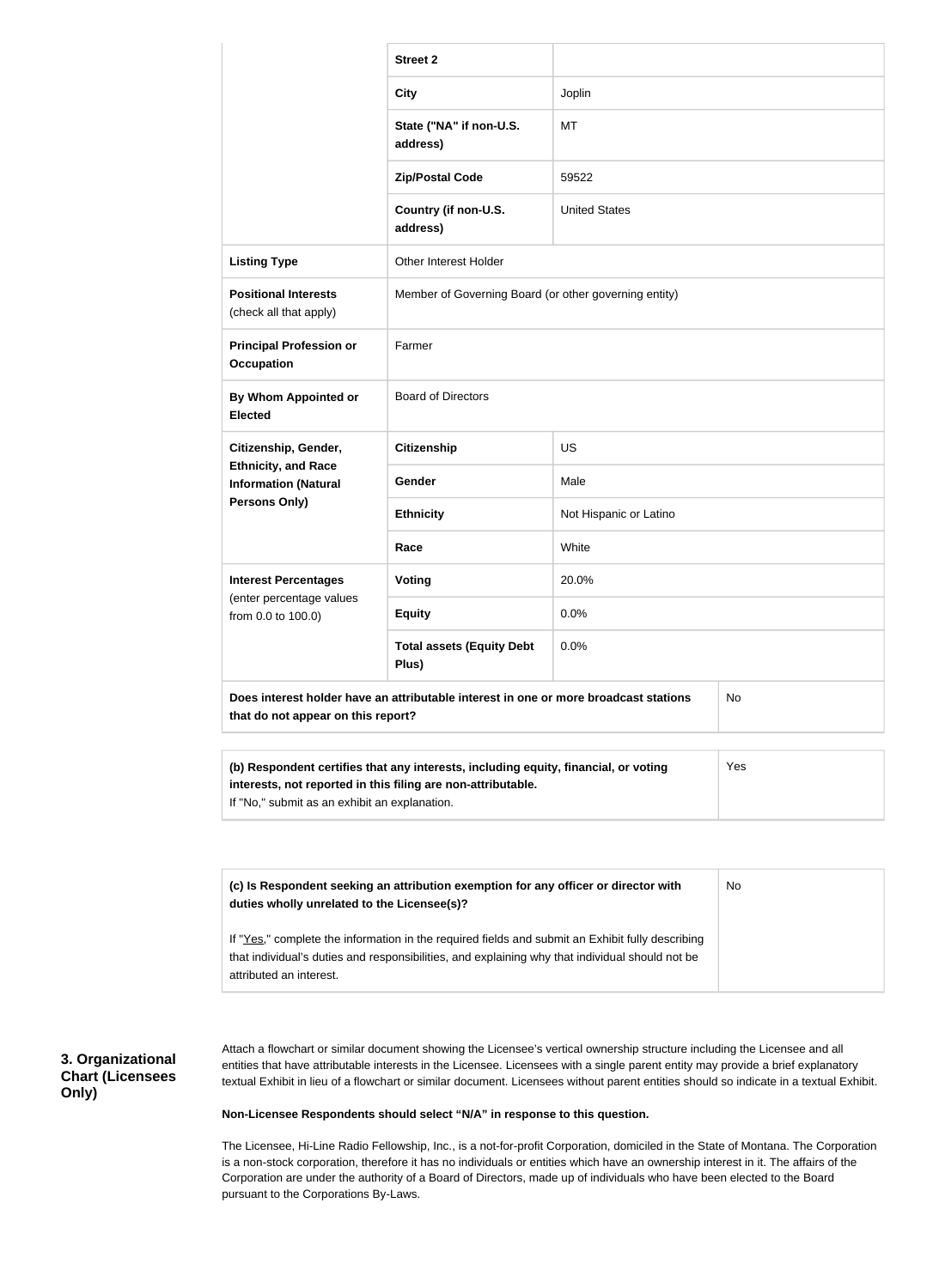|                                                                                                                                  | <b>Street 2</b>                                                                                                                                     |                        |     |
|----------------------------------------------------------------------------------------------------------------------------------|-----------------------------------------------------------------------------------------------------------------------------------------------------|------------------------|-----|
|                                                                                                                                  | <b>City</b>                                                                                                                                         | Joplin                 |     |
|                                                                                                                                  |                                                                                                                                                     |                        |     |
|                                                                                                                                  | State ("NA" if non-U.S.<br>address)                                                                                                                 | MT                     |     |
|                                                                                                                                  | <b>Zip/Postal Code</b>                                                                                                                              | 59522                  |     |
|                                                                                                                                  | Country (if non-U.S.<br>address)                                                                                                                    | <b>United States</b>   |     |
| <b>Listing Type</b>                                                                                                              | Other Interest Holder                                                                                                                               |                        |     |
| <b>Positional Interests</b><br>(check all that apply)                                                                            | Member of Governing Board (or other governing entity)                                                                                               |                        |     |
| <b>Principal Profession or</b><br><b>Occupation</b>                                                                              | Farmer                                                                                                                                              |                        |     |
| <b>By Whom Appointed or</b><br><b>Elected</b>                                                                                    | <b>Board of Directors</b>                                                                                                                           |                        |     |
| Citizenship, Gender,                                                                                                             | <b>Citizenship</b>                                                                                                                                  | <b>US</b>              |     |
| <b>Ethnicity, and Race</b><br><b>Information (Natural</b>                                                                        | <b>Gender</b>                                                                                                                                       | Male                   |     |
| <b>Persons Only)</b>                                                                                                             | <b>Ethnicity</b>                                                                                                                                    | Not Hispanic or Latino |     |
|                                                                                                                                  | Race                                                                                                                                                | White                  |     |
| <b>Interest Percentages</b>                                                                                                      | <b>Voting</b>                                                                                                                                       | 20.0%                  |     |
| (enter percentage values<br>from 0.0 to 100.0)                                                                                   | <b>Equity</b>                                                                                                                                       | 0.0%                   |     |
|                                                                                                                                  | <b>Total assets (Equity Debt</b><br>Plus)                                                                                                           | 0.0%                   |     |
| Does interest holder have an attributable interest in one or more broadcast stations<br>No<br>that do not appear on this report? |                                                                                                                                                     |                        |     |
| If "No," submit as an exhibit an explanation.                                                                                    | (b) Respondent certifies that any interests, including equity, financial, or voting<br>interests, not reported in this filing are non-attributable. |                        | Yes |
|                                                                                                                                  |                                                                                                                                                     |                        |     |

| (c) Is Respondent seeking an attribution exemption for any officer or director with<br>duties wholly unrelated to the Licensee(s)?                                                                                             | No |
|--------------------------------------------------------------------------------------------------------------------------------------------------------------------------------------------------------------------------------|----|
| If "Yes," complete the information in the required fields and submit an Exhibit fully describing<br>that individual's duties and responsibilities, and explaining why that individual should not be<br>attributed an interest. |    |

### **3. Organizational Chart (Licensees Only)**

Attach a flowchart or similar document showing the Licensee's vertical ownership structure including the Licensee and all entities that have attributable interests in the Licensee. Licensees with a single parent entity may provide a brief explanatory textual Exhibit in lieu of a flowchart or similar document. Licensees without parent entities should so indicate in a textual Exhibit.

#### **Non-Licensee Respondents should select "N/A" in response to this question.**

The Licensee, Hi-Line Radio Fellowship, Inc., is a not-for-profit Corporation, domiciled in the State of Montana. The Corporation is a non-stock corporation, therefore it has no individuals or entities which have an ownership interest in it. The affairs of the Corporation are under the authority of a Board of Directors, made up of individuals who have been elected to the Board pursuant to the Corporations By-Laws.